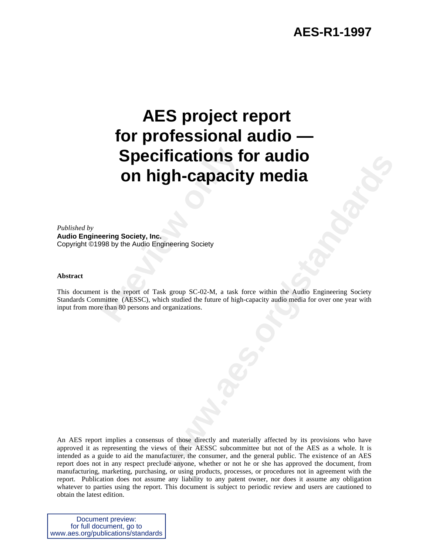### **AES-R1-1997**

# **Specifications for all in the Specifications**<br> **Provided by the Audio Engineering Society**<br>
Provide Audio Engineering Society<br>
Provide Audio Engineering Society<br>
Provide Audio Engineering Sc-02-M, a task for mittee (AESSC  **AES project report for professional audio — Specifications for audio on high-capacity media**

*Published by* **Audio Engineering Society, Inc.** Copyright ©1998 by the Audio Engineering Society

#### **Abstract**

This document is the report of Task group SC-02-M, a task force within the Audio Engineering Society Standards Committee (AESSC), which studied the future of high-capacity audio media for over one year with input from more than 80 persons and organizations.

**THE CALLONS TOF AUGIO<br>
Superior Scotlandards Scotlandards Scotlandards Scotlandards Scotlandards Scotlandards**<br>
We group SC-02-M, a task force within the Audio Engineering Society<br>
As standard the future of high-expactiv An AES report implies a consensus of those directly and materially affected by its provisions who have approved it as representing the views of their AESSC subcommittee but not of the AES as a whole. It is intended as a guide to aid the manufacturer, the consumer, and the general public. The existence of an AES report does not in any respect preclude anyone, whether or not he or she has approved the document, from manufacturing, marketing, purchasing, or using products, processes, or procedures not in agreement with the report. Publication does not assume any liability to any patent owner, nor does it assume any obligation whatever to parties using the report. This document is subject to periodic review and users are cautioned to obtain the latest edition.

Document preview: for full document, go to www.aes.org/publications/standards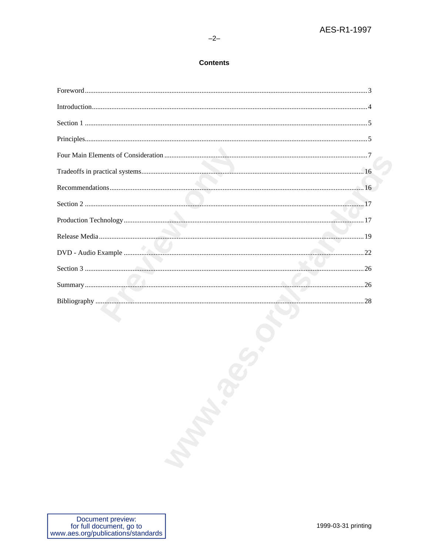#### $-2-$

#### **Contents**

| Maria R. |  |
|----------|--|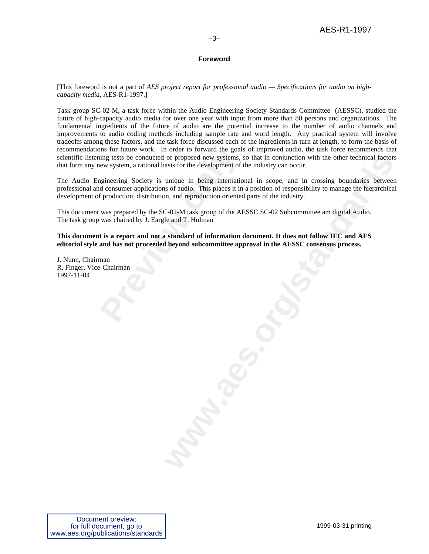#### **Foreword**

[This foreword is not a part of *AES project report for professional audio — Specifications for audio on highcapacity media,* AES-R1-1997.]

Task group SC-02-M, a task force within the Audio Engineering Society Standards Committee (AESSC), studied the future of high-capacity audio media for over one year with input from more than 80 persons and organizations. The fundamental ingredients of the future of audio are the potential increase to the number of audio channels and improvements to audio coding methods including sample rate and word length. Any practical system will involve tradeoffs among these factors, and the task force discussed each of the ingredients in turn at length, to form the basis of recommendations for future work. In order to forward the goals of improved audio, the task force recommends that scientific listening tests be conducted of proposed new systems, so that in conjunction with the other technical factors that form any new system, a rational basis for the development of the industry can occur.

In some for future work. In order to forward the goalsing tests be conducted of proposed new systems, sew system, a rational basis for the development of the diversion of summer applications of audio. This places it in pro The Audio Engineering Society is unique in being international in scope, and in crossing boundaries between professional and consumer applications of audio. This places it in a position of responsibility to manage the hierarchical development of production, distribution, and reproduction oriented parts of the industry.

This document was prepared by the SC-02-M task group of the AESSC SC-02 Subcommittee am digital Audio. The task group was chaired by J. Eargle and T. Holman

**This document is a report and not a standard of information document. It does not follow IEC and AES editorial style and has not proceeded beyond subcommittee approval in the AESSC consensus process.**

J. Nunn, Chairman R, Finger, Vice-Chairman 1997-11-04